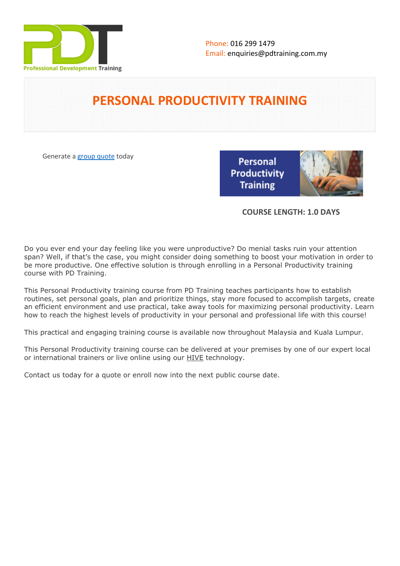

# **PERSONAL PRODUCTIVITY TRAINING**

Generate a [group quote](https://pdtraining.com.my/inhouse-training-quote?cse=PDT0018) today

Personal **Productivity Training** 



### **COURSE LENGTH: 1.0 DAYS**

Do you ever end your day feeling like you were unproductive? Do menial tasks ruin your attention span? Well, if that's the case, you might consider doing something to boost your motivation in order to be more productive. One effective solution is through enrolling in a Personal Productivity training course with PD Training.

This Personal Productivity training course from PD Training teaches participants how to establish routines, set personal goals, plan and prioritize things, stay more focused to accomplish targets, create an efficient environment and use practical, take away tools for maximizing personal productivity. Learn how to reach the highest levels of productivity in your personal and professional life with this course!

This practical and engaging training course is available now throughout Malaysia and Kuala Lumpur.

This Personal Productivity training course can be delivered at your premises by one of our expert local or international trainers or live online using our HIVE technology.

Contact us today for a quote or enroll now into the next public course date.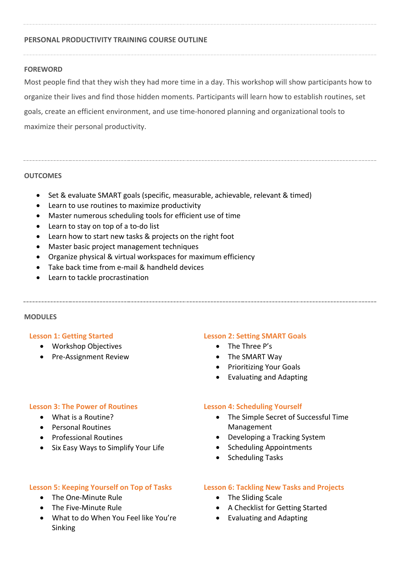#### **PERSONAL PRODUCTIVITY TRAINING COURSE OUTLINE**

#### **FOREWORD**

Most people find that they wish they had more time in a day. This workshop will show participants how to organize their lives and find those hidden moments. Participants will learn how to establish routines, set goals, create an efficient environment, and use time-honored planning and organizational tools to maximize their personal productivity.

#### **OUTCOMES**

- Set & evaluate SMART goals (specific, measurable, achievable, relevant & timed)
- Learn to use routines to maximize productivity
- Master numerous scheduling tools for efficient use of time
- Learn to stay on top of a to-do list
- Learn how to start new tasks & projects on the right foot
- Master basic project management techniques
- Organize physical & virtual workspaces for maximum efficiency
- Take back time from e-mail & handheld devices
- Learn to tackle procrastination

#### **MODULES**

#### **Lesson 1: Getting Started**

- Workshop Objectives
- Pre-Assignment Review

#### **Lesson 2: Setting SMART Goals**

- The Three P's
- The SMART Way
- **•** Prioritizing Your Goals
- Evaluating and Adapting

#### **Lesson 3: The Power of Routines**

- What is a Routine?
- Personal Routines
- **•** Professional Routines
- Six Easy Ways to Simplify Your Life

#### **Lesson 5: Keeping Yourself on Top of Tasks**

- The One-Minute Rule
- The Five-Minute Rule
- What to do When You Feel like You're Sinking

#### **Lesson 4: Scheduling Yourself**

- The Simple Secret of Successful Time Management
- Developing a Tracking System
- Scheduling Appointments
- Scheduling Tasks

#### **Lesson 6: Tackling New Tasks and Projects**

- The Sliding Scale
- A Checklist for Getting Started
- Evaluating and Adapting